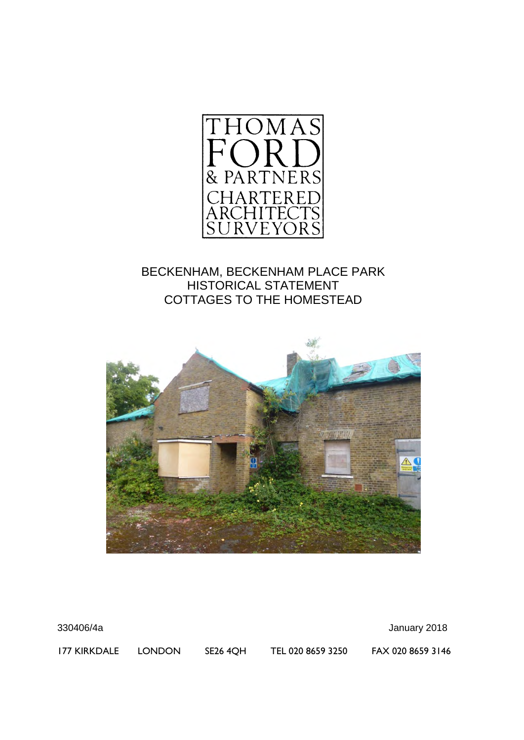

BECKENHAM, BECKENHAM PLACE PARK HISTORICAL STATEMENT COTTAGES TO THE HOMESTEAD



| 177 KIRKDALE LONDON | 330406/4a |                      |                   | January 2018      |
|---------------------|-----------|----------------------|-------------------|-------------------|
|                     |           | SE <sub>26</sub> 4OH | TEL 020 8659 3250 | FAX 020 8659 3146 |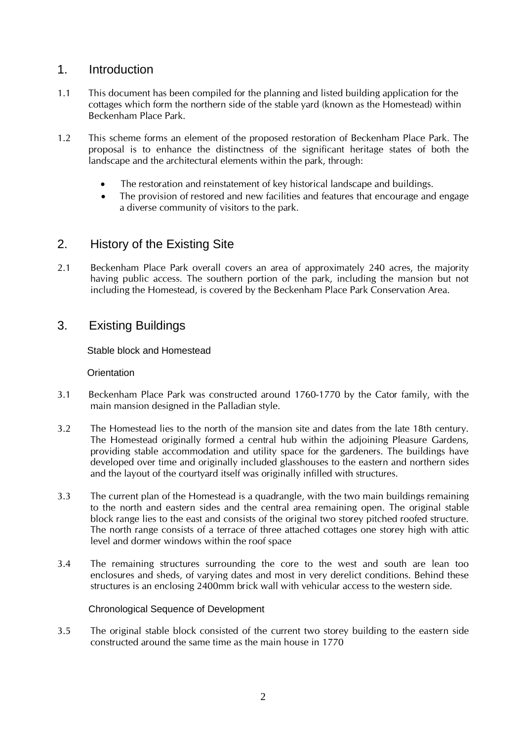# 1. Introduction

- 1.1 This document has been compiled for the planning and listed building application for the cottages which form the northern side of the stable yard (known as the Homestead) within Beckenham Place Park.
- 1.2 This scheme forms an element of the proposed restoration of Beckenham Place Park. The proposal is to enhance the distinctness of the significant heritage states of both the landscape and the architectural elements within the park, through:
	- The restoration and reinstatement of key historical landscape and buildings.
	- The provision of restored and new facilities and features that encourage and engage a diverse community of visitors to the park.

## 2. History of the Existing Site

2.1 Beckenham Place Park overall covers an area of approximately 240 acres, the majority having public access. The southern portion of the park, including the mansion but not including the Homestead, is covered by the Beckenham Place Park Conservation Area.

# 3. Existing Buildings

Stable block and Homestead

**Orientation** 

- 3.1 Beckenham Place Park was constructed around 1760-1770 by the Cator family, with the main mansion designed in the Palladian style.
- 3.2 The Homestead lies to the north of the mansion site and dates from the late 18th century. The Homestead originally formed a central hub within the adjoining Pleasure Gardens, providing stable accommodation and utility space for the gardeners. The buildings have developed over time and originally included glasshouses to the eastern and northern sides and the layout of the courtyard itself was originally infilled with structures.
- 3.3 The current plan of the Homestead is a quadrangle, with the two main buildings remaining to the north and eastern sides and the central area remaining open. The original stable block range lies to the east and consists of the original two storey pitched roofed structure. The north range consists of a terrace of three attached cottages one storey high with attic level and dormer windows within the roof space
- 3.4 The remaining structures surrounding the core to the west and south are lean too enclosures and sheds, of varying dates and most in very derelict conditions. Behind these structures is an enclosing 2400mm brick wall with vehicular access to the western side.

## Chronological Sequence of Development

3.5 The original stable block consisted of the current two storey building to the eastern side constructed around the same time as the main house in 1770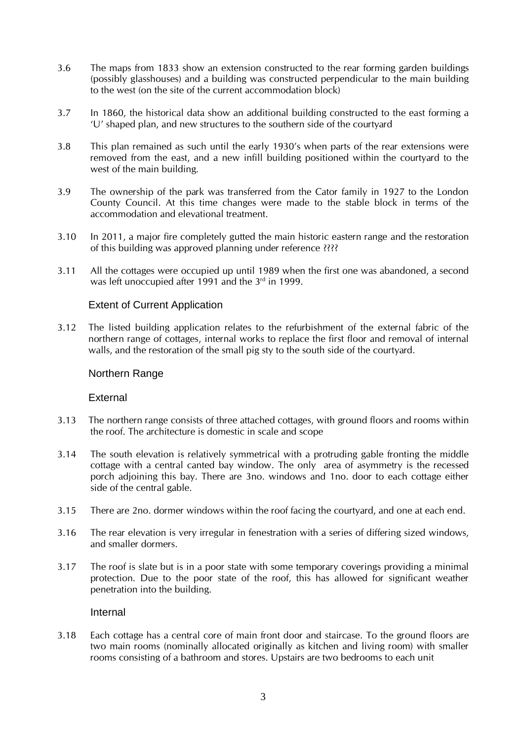- 3.6 The maps from 1833 show an extension constructed to the rear forming garden buildings (possibly glasshouses) and a building was constructed perpendicular to the main building to the west (on the site of the current accommodation block)
- 3.7 In 1860, the historical data show an additional building constructed to the east forming a 'U' shaped plan, and new structures to the southern side of the courtyard
- 3.8 This plan remained as such until the early 1930's when parts of the rear extensions were removed from the east, and a new infill building positioned within the courtyard to the west of the main building.
- 3.9 The ownership of the park was transferred from the Cator family in 1927 to the London County Council. At this time changes were made to the stable block in terms of the accommodation and elevational treatment.
- 3.10 In 2011, a major fire completely gutted the main historic eastern range and the restoration of this building was approved planning under reference ????
- 3.11 All the cottages were occupied up until 1989 when the first one was abandoned, a second was left unoccupied after 1991 and the 3<sup>rd</sup> in 1999.

### Extent of Current Application

3.12 The listed building application relates to the refurbishment of the external fabric of the northern range of cottages, internal works to replace the first floor and removal of internal walls, and the restoration of the small pig sty to the south side of the courtyard.

#### Northern Range

#### External

- 3.13 The northern range consists of three attached cottages, with ground floors and rooms within the roof. The architecture is domestic in scale and scope
- 3.14 The south elevation is relatively symmetrical with a protruding gable fronting the middle cottage with a central canted bay window. The only area of asymmetry is the recessed porch adjoining this bay. There are 3no. windows and 1no. door to each cottage either side of the central gable.
- 3.15 There are 2no. dormer windows within the roof facing the courtyard, and one at each end.
- 3.16 The rear elevation is very irregular in fenestration with a series of differing sized windows, and smaller dormers.
- 3.17 The roof is slate but is in a poor state with some temporary coverings providing a minimal protection. Due to the poor state of the roof, this has allowed for significant weather penetration into the building.

#### Internal

3.18 Each cottage has a central core of main front door and staircase. To the ground floors are two main rooms (nominally allocated originally as kitchen and living room) with smaller rooms consisting of a bathroom and stores. Upstairs are two bedrooms to each unit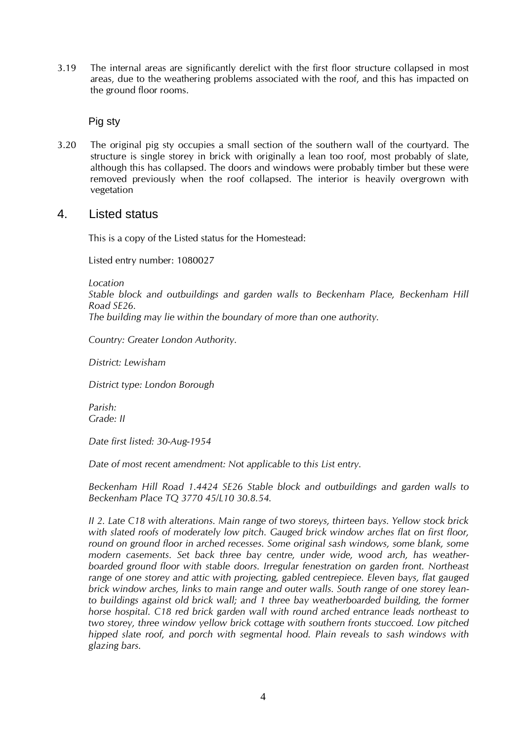3.19 The internal areas are significantly derelict with the first floor structure collapsed in most areas, due to the weathering problems associated with the roof, and this has impacted on the ground floor rooms.

Pig sty

3.20 The original pig sty occupies a small section of the southern wall of the courtyard. The structure is single storey in brick with originally a lean too roof, most probably of slate, although this has collapsed. The doors and windows were probably timber but these were removed previously when the roof collapsed. The interior is heavily overgrown with vegetation

## 4. Listed status

This is a copy of the Listed status for the Homestead:

Listed entry number: 1080027

*Location* 

*Stable block and outbuildings and garden walls to Beckenham Place, Beckenham Hill Road SE26.* 

*The building may lie within the boundary of more than one authority.* 

*Country: Greater London Authority.* 

*District: Lewisham* 

*District type: London Borough* 

*Parish: Grade: II*

*Date first listed: 30-Aug-1954* 

*Date of most recent amendment: Not applicable to this List entry.* 

*Beckenham Hill Road 1.4424 SE26 Stable block and outbuildings and garden walls to Beckenham Place TQ 3770 45/L10 30.8.54.*

*II 2. Late C18 with alterations. Main range of two storeys, thirteen bays. Yellow stock brick with slated roofs of moderately low pitch. Gauged brick window arches flat on first floor, round on ground floor in arched recesses. Some original sash windows, some blank, some modern casements. Set back three bay centre, under wide, wood arch, has weatherboarded ground floor with stable doors. Irregular fenestration on garden front. Northeast range of one storey and attic with projecting, gabled centrepiece. Eleven bays, flat gauged brick window arches, links to main range and outer walls. South range of one storey leanto buildings against old brick wall; and 1 three bay weatherboarded building, the former horse hospital. C18 red brick garden wall with round arched entrance leads northeast to two storey, three window yellow brick cottage with southern fronts stuccoed. Low pitched hipped slate roof, and porch with segmental hood. Plain reveals to sash windows with glazing bars.*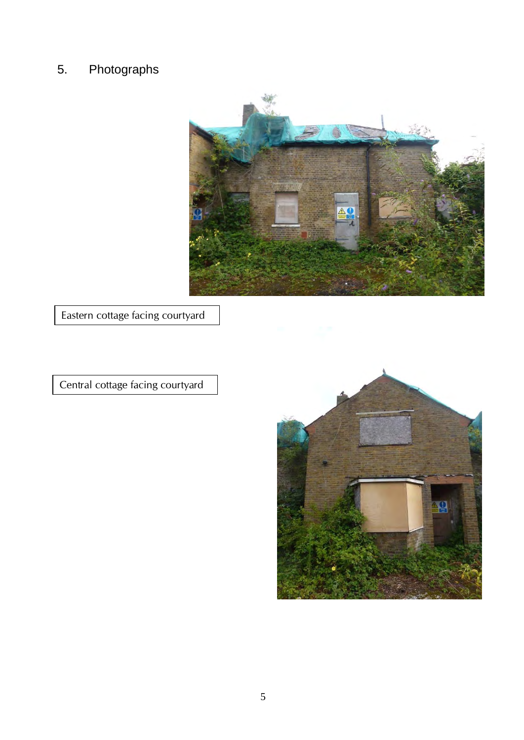# 5. Photographs



Eastern cottage facing courtyard

Central cottage facing courtyard

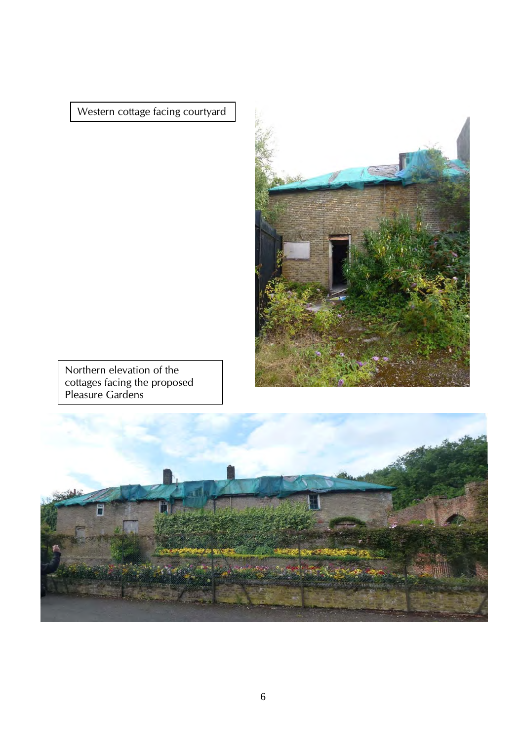Western cottage facing courtyard



Northern elevation of the cottages facing the proposed Pleasure Gardens

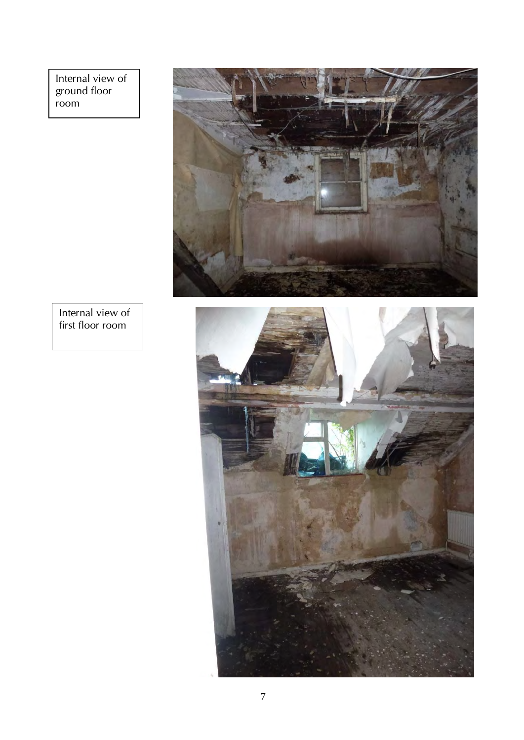Internal view of ground floor room



Internal view of first floor room